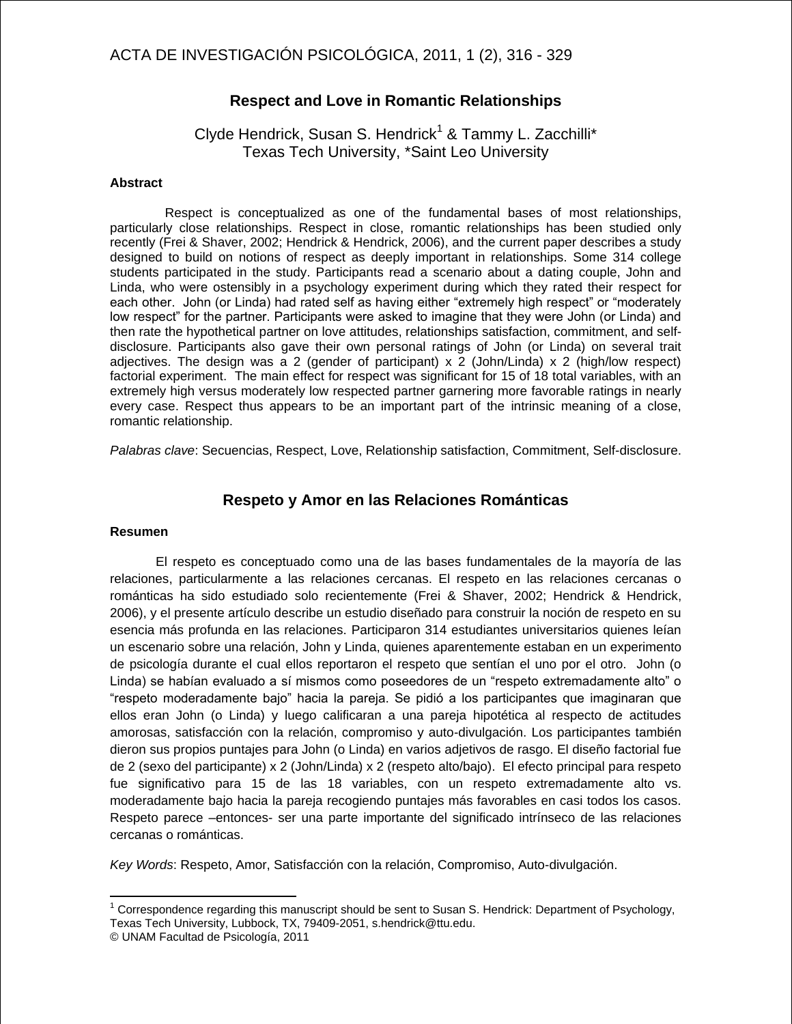### **Respect and Love in Romantic Relationships**

Clyde Hendrick, Susan S. Hendrick<sup>1</sup> & Tammy L. Zacchilli\* Texas Tech University, \*Saint Leo University

#### **Abstract**

Respect is conceptualized as one of the fundamental bases of most relationships, particularly close relationships. Respect in close, romantic relationships has been studied only recently (Frei & Shaver, 2002; Hendrick & Hendrick, 2006), and the current paper describes a study designed to build on notions of respect as deeply important in relationships. Some 314 college students participated in the study. Participants read a scenario about a dating couple, John and Linda, who were ostensibly in a psychology experiment during which they rated their respect for each other. John (or Linda) had rated self as having either "extremely high respect" or "moderately low respect" for the partner. Participants were asked to imagine that they were John (or Linda) and then rate the hypothetical partner on love attitudes, relationships satisfaction, commitment, and selfdisclosure. Participants also gave their own personal ratings of John (or Linda) on several trait adjectives. The design was a 2 (gender of participant)  $x$  2 (John/Linda)  $x$  2 (high/low respect) factorial experiment. The main effect for respect was significant for 15 of 18 total variables, with an extremely high versus moderately low respected partner garnering more favorable ratings in nearly every case. Respect thus appears to be an important part of the intrinsic meaning of a close, romantic relationship.

*Palabras clave*: Secuencias, Respect, Love, Relationship satisfaction, Commitment, Self-disclosure.

### **Respeto y Amor en las Relaciones Románticas**

#### **Resumen**

 $\overline{1}$ 

El respeto es conceptuado como una de las bases fundamentales de la mayoría de las relaciones, particularmente a las relaciones cercanas. El respeto en las relaciones cercanas o románticas ha sido estudiado solo recientemente (Frei & Shaver, 2002; Hendrick & Hendrick, 2006), y el presente artículo describe un estudio diseñado para construir la noción de respeto en su esencia más profunda en las relaciones. Participaron 314 estudiantes universitarios quienes leían un escenario sobre una relación, John y Linda, quienes aparentemente estaban en un experimento de psicología durante el cual ellos reportaron el respeto que sentían el uno por el otro. John (o Linda) se habían evaluado a sí mismos como poseedores de un "respeto extremadamente alto" o ―respeto moderadamente bajo‖ hacia la pareja. Se pidió a los participantes que imaginaran que ellos eran John (o Linda) y luego calificaran a una pareja hipotética al respecto de actitudes amorosas, satisfacción con la relación, compromiso y auto-divulgación. Los participantes también dieron sus propios puntajes para John (o Linda) en varios adjetivos de rasgo. El diseño factorial fue de 2 (sexo del participante) x 2 (John/Linda) x 2 (respeto alto/bajo). El efecto principal para respeto fue significativo para 15 de las 18 variables, con un respeto extremadamente alto vs. moderadamente bajo hacia la pareja recogiendo puntajes más favorables en casi todos los casos. Respeto parece –entonces- ser una parte importante del significado intrínseco de las relaciones cercanas o románticas.

*Key Words*: Respeto, Amor, Satisfacción con la relación, Compromiso, Auto-divulgación.

 $1$  Correspondence regarding this manuscript should be sent to Susan S. Hendrick: Department of Psychology, Texas Tech University, Lubbock, TX, 79409-2051, s.hendrick@ttu.edu.

<sup>©</sup> UNAM Facultad de Psicología, 2011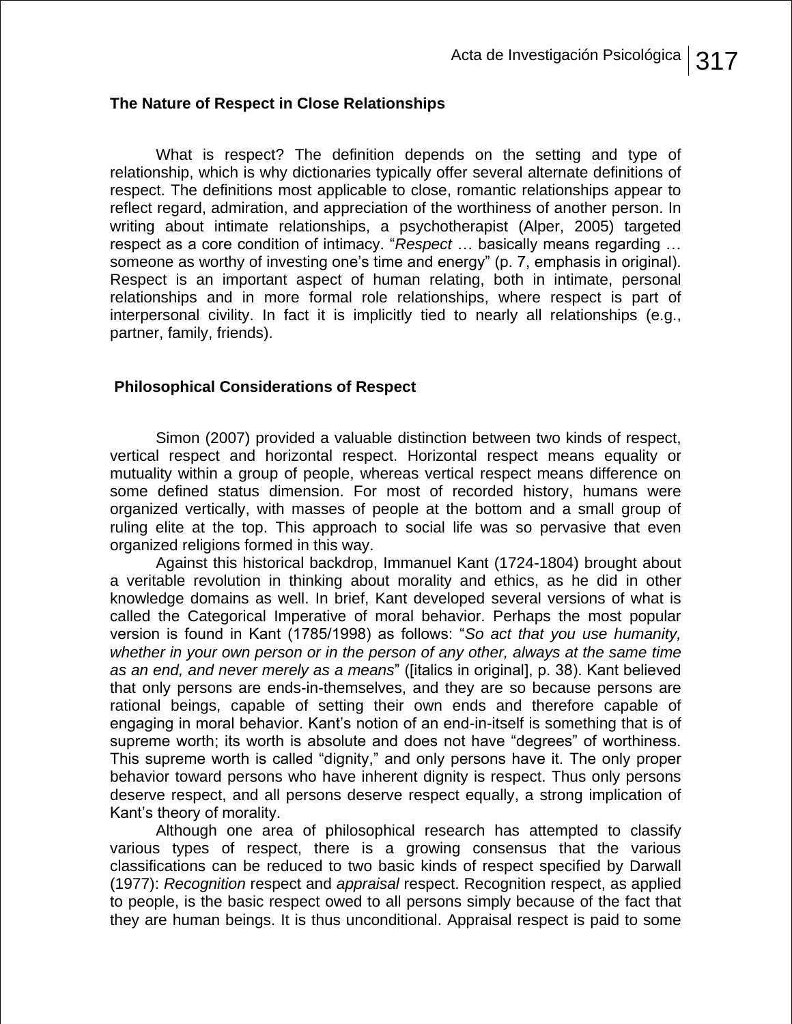# **The Nature of Respect in Close Relationships**

 What is respect? The definition depends on the setting and type of relationship, which is why dictionaries typically offer several alternate definitions of respect. The definitions most applicable to close, romantic relationships appear to reflect regard, admiration, and appreciation of the worthiness of another person. In writing about intimate relationships, a psychotherapist (Alper, 2005) targeted respect as a core condition of intimacy. "Respect ... basically means regarding ... someone as worthy of investing one's time and energy" (p. 7, emphasis in original). Respect is an important aspect of human relating, both in intimate, personal relationships and in more formal role relationships, where respect is part of interpersonal civility. In fact it is implicitly tied to nearly all relationships (e.g., partner, family, friends).

# **Philosophical Considerations of Respect**

Simon (2007) provided a valuable distinction between two kinds of respect, vertical respect and horizontal respect. Horizontal respect means equality or mutuality within a group of people, whereas vertical respect means difference on some defined status dimension. For most of recorded history, humans were organized vertically, with masses of people at the bottom and a small group of ruling elite at the top. This approach to social life was so pervasive that even organized religions formed in this way.

 Against this historical backdrop, Immanuel Kant (1724-1804) brought about a veritable revolution in thinking about morality and ethics, as he did in other knowledge domains as well. In brief, Kant developed several versions of what is called the Categorical Imperative of moral behavior. Perhaps the most popular version is found in Kant (1785/1998) as follows: "So act that you use humanity, *whether in your own person or in the person of any other, always at the same time as an end, and never merely as a means*‖ ([italics in original], p. 38). Kant believed that only persons are ends-in-themselves, and they are so because persons are rational beings, capable of setting their own ends and therefore capable of engaging in moral behavior. Kant's notion of an end-in-itself is something that is of supreme worth; its worth is absolute and does not have "degrees" of worthiness. This supreme worth is called "dignity," and only persons have it. The only proper behavior toward persons who have inherent dignity is respect. Thus only persons deserve respect, and all persons deserve respect equally, a strong implication of Kant's theory of morality.

 Although one area of philosophical research has attempted to classify various types of respect, there is a growing consensus that the various classifications can be reduced to two basic kinds of respect specified by Darwall (1977): *Recognition* respect and *appraisal* respect. Recognition respect, as applied to people, is the basic respect owed to all persons simply because of the fact that they are human beings. It is thus unconditional. Appraisal respect is paid to some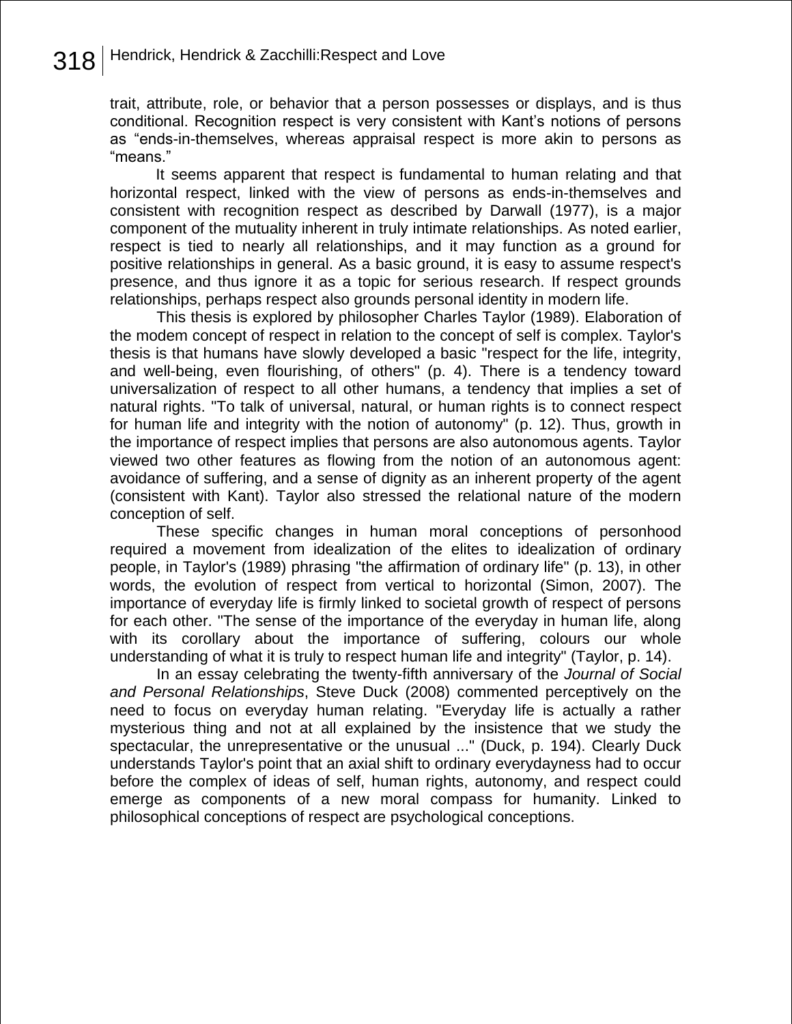trait, attribute, role, or behavior that a person possesses or displays, and is thus conditional. Recognition respect is very consistent with Kant's notions of persons as "ends-in-themselves, whereas appraisal respect is more akin to persons as ―means.‖

 It seems apparent that respect is fundamental to human relating and that horizontal respect, linked with the view of persons as ends-in-themselves and consistent with recognition respect as described by Darwall (1977), is a major component of the mutuality inherent in truly intimate relationships. As noted earlier, respect is tied to nearly all relationships, and it may function as a ground for positive relationships in general. As a basic ground, it is easy to assume respect's presence, and thus ignore it as a topic for serious research. If respect grounds relationships, perhaps respect also grounds personal identity in modern life.

This thesis is explored by philosopher Charles Taylor (1989). Elaboration of the modem concept of respect in relation to the concept of self is complex. Taylor's thesis is that humans have slowly developed a basic "respect for the life, integrity, and well-being, even flourishing, of others" (p. 4). There is a tendency toward universalization of respect to all other humans, a tendency that implies a set of natural rights. "To talk of universal, natural, or human rights is to connect respect for human life and integrity with the notion of autonomy" (p. 12). Thus, growth in the importance of respect implies that persons are also autonomous agents. Taylor viewed two other features as flowing from the notion of an autonomous agent: avoidance of suffering, and a sense of dignity as an inherent property of the agent (consistent with Kant). Taylor also stressed the relational nature of the modern conception of self.

These specific changes in human moral conceptions of personhood required a movement from idealization of the elites to idealization of ordinary people, in Taylor's (1989) phrasing "the affirmation of ordinary life" (p. 13), in other words, the evolution of respect from vertical to horizontal (Simon, 2007). The importance of everyday life is firmly linked to societal growth of respect of persons for each other. "The sense of the importance of the everyday in human life, along with its corollary about the importance of suffering, colours our whole understanding of what it is truly to respect human life and integrity" (Taylor, p. 14).

In an essay celebrating the twenty-fifth anniversary of the *Journal of Social and Personal Relationships*, Steve Duck (2008) commented perceptively on the need to focus on everyday human relating. "Everyday life is actually a rather mysterious thing and not at all explained by the insistence that we study the spectacular, the unrepresentative or the unusual ..." (Duck, p. 194). Clearly Duck understands Taylor's point that an axial shift to ordinary everydayness had to occur before the complex of ideas of self, human rights, autonomy, and respect could emerge as components of a new moral compass for humanity. Linked to philosophical conceptions of respect are psychological conceptions.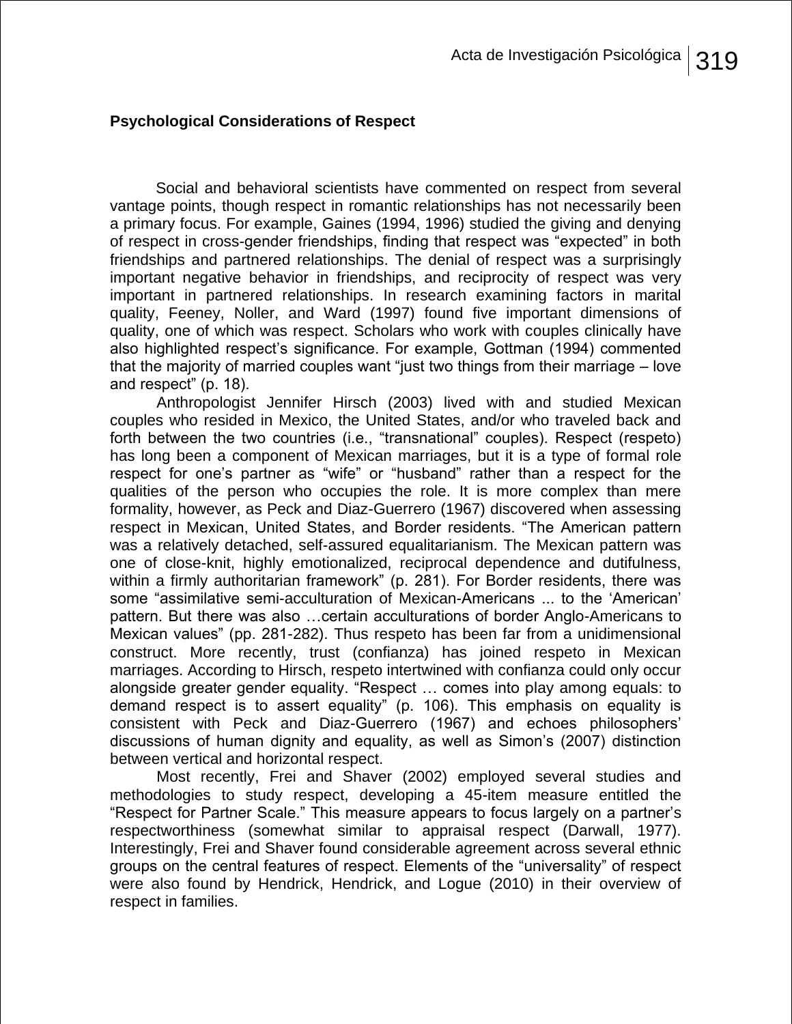# **Psychological Considerations of Respect**

 Social and behavioral scientists have commented on respect from several vantage points, though respect in romantic relationships has not necessarily been a primary focus. For example, Gaines (1994, 1996) studied the giving and denying of respect in cross-gender friendships, finding that respect was "expected" in both friendships and partnered relationships. The denial of respect was a surprisingly important negative behavior in friendships, and reciprocity of respect was very important in partnered relationships. In research examining factors in marital quality, Feeney, Noller, and Ward (1997) found five important dimensions of quality, one of which was respect. Scholars who work with couples clinically have also highlighted respect's significance. For example, Gottman (1994) commented that the majority of married couples want "just two things from their marriage  $-$  love and respect" (p. 18).

Anthropologist Jennifer Hirsch (2003) lived with and studied Mexican couples who resided in Mexico, the United States, and/or who traveled back and forth between the two countries (i.e., "transnational" couples). Respect (respeto) has long been a component of Mexican marriages, but it is a type of formal role respect for one's partner as "wife" or "husband" rather than a respect for the qualities of the person who occupies the role. It is more complex than mere formality, however, as Peck and Diaz-Guerrero (1967) discovered when assessing respect in Mexican, United States, and Border residents. "The American pattern was a relatively detached, self-assured equalitarianism. The Mexican pattern was one of close-knit, highly emotionalized, reciprocal dependence and dutifulness, within a firmly authoritarian framework" (p. 281). For Border residents, there was some "assimilative semi-acculturation of Mexican-Americans ... to the 'American' pattern. But there was also …certain acculturations of border Anglo-Americans to Mexican values" (pp. 281-282). Thus respeto has been far from a unidimensional construct. More recently, trust (confianza) has joined respeto in Mexican marriages. According to Hirsch, respeto intertwined with confianza could only occur alongside greater gender equality. "Respect ... comes into play among equals: to demand respect is to assert equality" (p. 106). This emphasis on equality is consistent with Peck and Diaz-Guerrero (1967) and echoes philosophers' discussions of human dignity and equality, as well as Simon's (2007) distinction between vertical and horizontal respect.

Most recently, Frei and Shaver (2002) employed several studies and methodologies to study respect, developing a 45-item measure entitled the ―Respect for Partner Scale.‖ This measure appears to focus largely on a partner's respectworthiness (somewhat similar to appraisal respect (Darwall, 1977). Interestingly, Frei and Shaver found considerable agreement across several ethnic groups on the central features of respect. Elements of the "universality" of respect were also found by Hendrick, Hendrick, and Logue (2010) in their overview of respect in families.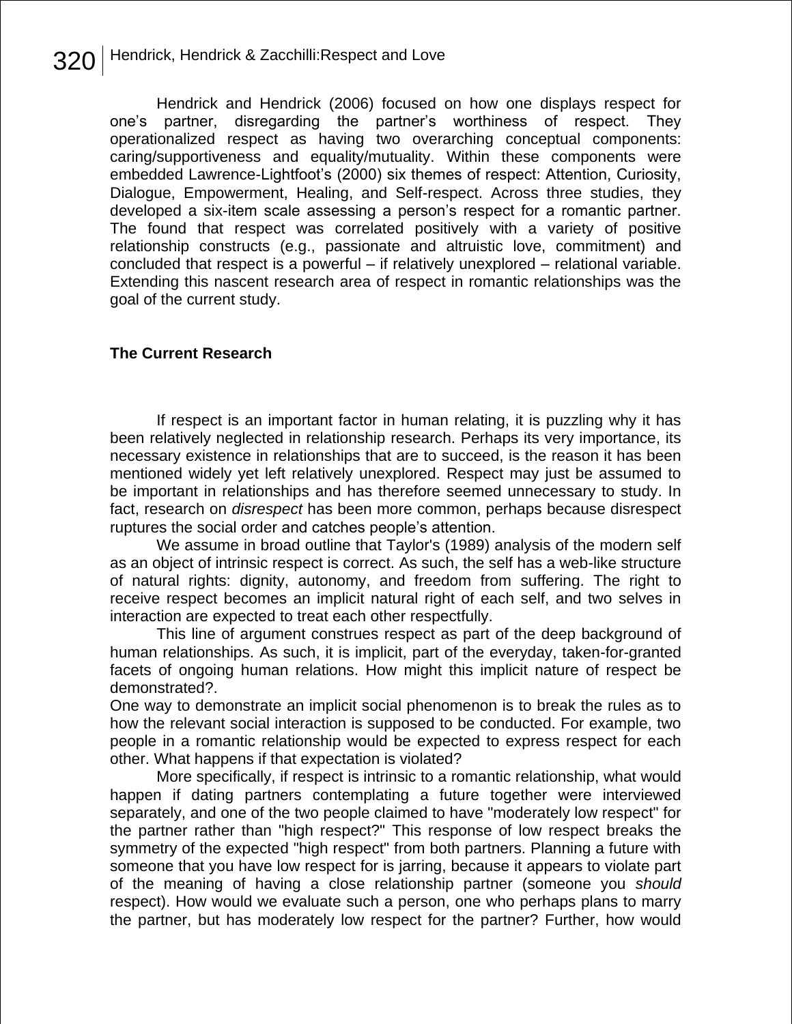Hendrick and Hendrick (2006) focused on how one displays respect for one's partner, disregarding the partner's worthiness of respect. They operationalized respect as having two overarching conceptual components: caring/supportiveness and equality/mutuality. Within these components were embedded Lawrence-Lightfoot's (2000) six themes of respect: Attention, Curiosity, Dialogue, Empowerment, Healing, and Self-respect. Across three studies, they developed a six-item scale assessing a person's respect for a romantic partner. The found that respect was correlated positively with a variety of positive relationship constructs (e.g., passionate and altruistic love, commitment) and concluded that respect is a powerful – if relatively unexplored – relational variable. Extending this nascent research area of respect in romantic relationships was the goal of the current study.

## **The Current Research**

If respect is an important factor in human relating, it is puzzling why it has been relatively neglected in relationship research. Perhaps its very importance, its necessary existence in relationships that are to succeed, is the reason it has been mentioned widely yet left relatively unexplored. Respect may just be assumed to be important in relationships and has therefore seemed unnecessary to study. In fact, research on *disrespect* has been more common, perhaps because disrespect ruptures the social order and catches people's attention.

We assume in broad outline that Taylor's (1989) analysis of the modern self as an object of intrinsic respect is correct. As such, the self has a web-like structure of natural rights: dignity, autonomy, and freedom from suffering. The right to receive respect becomes an implicit natural right of each self, and two selves in interaction are expected to treat each other respectfully.

This line of argument construes respect as part of the deep background of human relationships. As such, it is implicit, part of the everyday, taken-for-granted facets of ongoing human relations. How might this implicit nature of respect be demonstrated?.

One way to demonstrate an implicit social phenomenon is to break the rules as to how the relevant social interaction is supposed to be conducted. For example, two people in a romantic relationship would be expected to express respect for each other. What happens if that expectation is violated?

More specifically, if respect is intrinsic to a romantic relationship, what would happen if dating partners contemplating a future together were interviewed separately, and one of the two people claimed to have "moderately low respect" for the partner rather than "high respect?" This response of low respect breaks the symmetry of the expected "high respect" from both partners. Planning a future with someone that you have low respect for is jarring, because it appears to violate part of the meaning of having a close relationship partner (someone you *should* respect). How would we evaluate such a person, one who perhaps plans to marry the partner, but has moderately low respect for the partner? Further, how would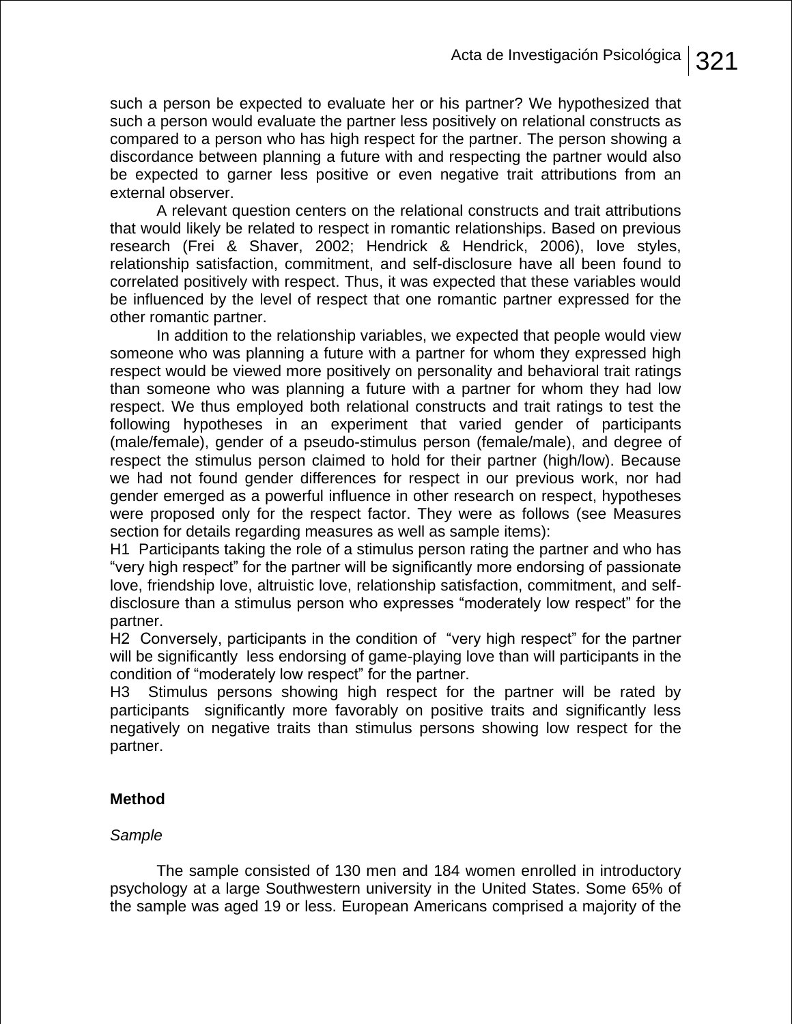such a person be expected to evaluate her or his partner? We hypothesized that such a person would evaluate the partner less positively on relational constructs as compared to a person who has high respect for the partner. The person showing a discordance between planning a future with and respecting the partner would also be expected to garner less positive or even negative trait attributions from an external observer.

A relevant question centers on the relational constructs and trait attributions that would likely be related to respect in romantic relationships. Based on previous research (Frei & Shaver, 2002; Hendrick & Hendrick, 2006), love styles, relationship satisfaction, commitment, and self-disclosure have all been found to correlated positively with respect. Thus, it was expected that these variables would be influenced by the level of respect that one romantic partner expressed for the other romantic partner.

In addition to the relationship variables, we expected that people would view someone who was planning a future with a partner for whom they expressed high respect would be viewed more positively on personality and behavioral trait ratings than someone who was planning a future with a partner for whom they had low respect. We thus employed both relational constructs and trait ratings to test the following hypotheses in an experiment that varied gender of participants (male/female), gender of a pseudo-stimulus person (female/male), and degree of respect the stimulus person claimed to hold for their partner (high/low). Because we had not found gender differences for respect in our previous work, nor had gender emerged as a powerful influence in other research on respect, hypotheses were proposed only for the respect factor. They were as follows (see Measures section for details regarding measures as well as sample items):

H1 Participants taking the role of a stimulus person rating the partner and who has "very high respect" for the partner will be significantly more endorsing of passionate love, friendship love, altruistic love, relationship satisfaction, commitment, and selfdisclosure than a stimulus person who expresses "moderately low respect" for the partner.

H2 Conversely, participants in the condition of "very high respect" for the partner will be significantly less endorsing of game-playing love than will participants in the condition of "moderately low respect" for the partner.

H3 Stimulus persons showing high respect for the partner will be rated by participants significantly more favorably on positive traits and significantly less negatively on negative traits than stimulus persons showing low respect for the partner.

## **Method**

## *Sample*

The sample consisted of 130 men and 184 women enrolled in introductory psychology at a large Southwestern university in the United States. Some 65% of the sample was aged 19 or less. European Americans comprised a majority of the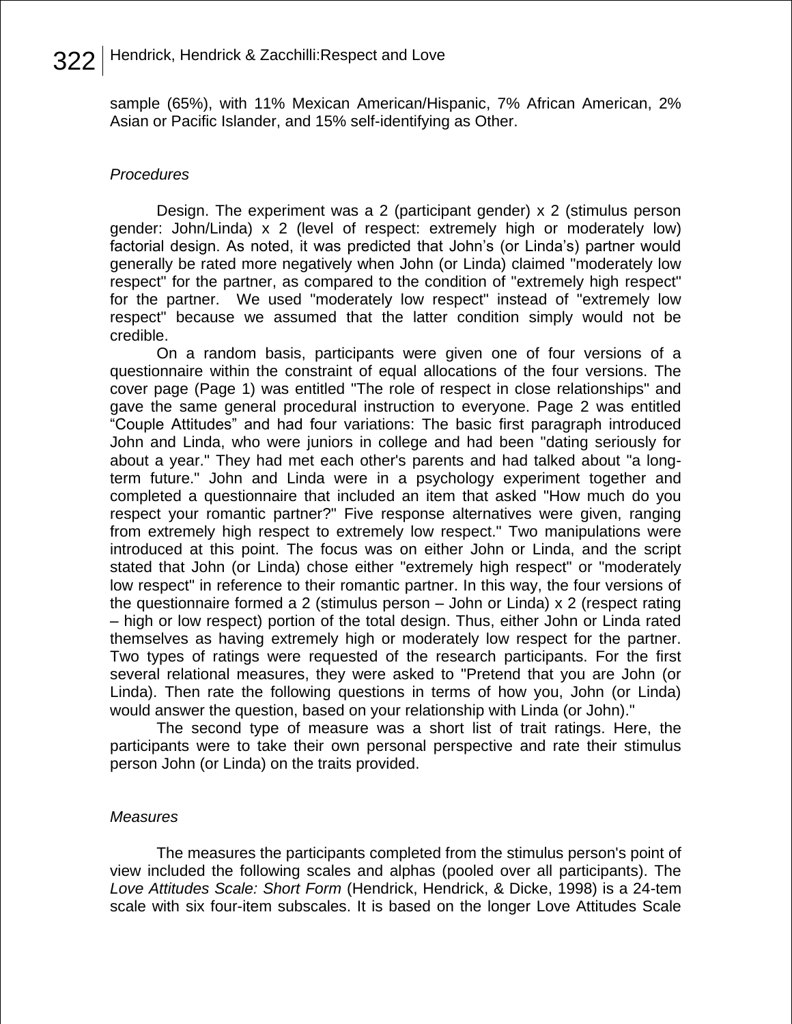sample (65%), with 11% Mexican American/Hispanic, 7% African American, 2% Asian or Pacific Islander, and 15% self-identifying as Other.

## *Procedures*

Design. The experiment was a 2 (participant gender) x 2 (stimulus person gender: John/Linda) x 2 (level of respect: extremely high or moderately low) factorial design. As noted, it was predicted that John's (or Linda's) partner would generally be rated more negatively when John (or Linda) claimed "moderately low respect" for the partner, as compared to the condition of "extremely high respect" for the partner. We used "moderately low respect" instead of "extremely low respect" because we assumed that the latter condition simply would not be credible.

On a random basis, participants were given one of four versions of a questionnaire within the constraint of equal allocations of the four versions. The cover page (Page 1) was entitled "The role of respect in close relationships" and gave the same general procedural instruction to everyone. Page 2 was entitled ―Couple Attitudes‖ and had four variations: The basic first paragraph introduced John and Linda, who were juniors in college and had been "dating seriously for about a year." They had met each other's parents and had talked about "a longterm future." John and Linda were in a psychology experiment together and completed a questionnaire that included an item that asked "How much do you respect your romantic partner?" Five response alternatives were given, ranging from extremely high respect to extremely low respect." Two manipulations were introduced at this point. The focus was on either John or Linda, and the script stated that John (or Linda) chose either "extremely high respect" or "moderately low respect" in reference to their romantic partner. In this way, the four versions of the questionnaire formed a 2 (stimulus person – John or Linda) x 2 (respect rating – high or low respect) portion of the total design. Thus, either John or Linda rated themselves as having extremely high or moderately low respect for the partner. Two types of ratings were requested of the research participants. For the first several relational measures, they were asked to "Pretend that you are John (or Linda). Then rate the following questions in terms of how you, John (or Linda) would answer the question, based on your relationship with Linda (or John)."

The second type of measure was a short list of trait ratings. Here, the participants were to take their own personal perspective and rate their stimulus person John (or Linda) on the traits provided.

## *Measures*

The measures the participants completed from the stimulus person's point of view included the following scales and alphas (pooled over all participants). The *Love Attitudes Scale: Short Form* (Hendrick, Hendrick, & Dicke, 1998) is a 24-tem scale with six four-item subscales. It is based on the longer Love Attitudes Scale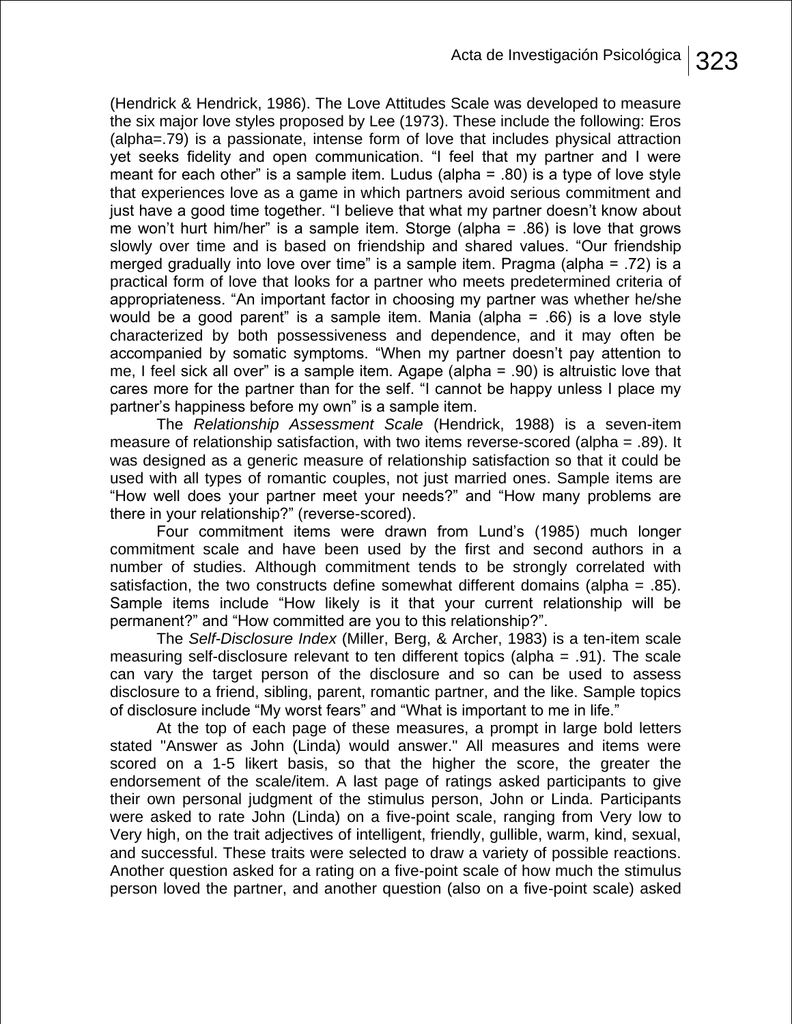(Hendrick & Hendrick, 1986). The Love Attitudes Scale was developed to measure the six major love styles proposed by Lee (1973). These include the following: Eros (alpha=.79) is a passionate, intense form of love that includes physical attraction yet seeks fidelity and open communication. "I feel that my partner and I were meant for each other" is a sample item. Ludus (alpha  $= .80$ ) is a type of love style that experiences love as a game in which partners avoid serious commitment and just have a good time together. "I believe that what my partner doesn't know about me won't hurt him/her" is a sample item. Storge (alpha  $= .86$ ) is love that grows slowly over time and is based on friendship and shared values. "Our friendship merged gradually into love over time" is a sample item. Pragma (alpha =  $.72$ ) is a practical form of love that looks for a partner who meets predetermined criteria of appropriateness. "An important factor in choosing my partner was whether he/she would be a good parent" is a sample item. Mania (alpha  $=$  .66) is a love style characterized by both possessiveness and dependence, and it may often be accompanied by somatic symptoms. "When my partner doesn't pay attention to me, I feel sick all over" is a sample item. Agape (alpha  $= .90$ ) is altruistic love that cares more for the partner than for the self. "I cannot be happy unless I place my partner's happiness before my own" is a sample item.

The *Relationship Assessment Scale* (Hendrick, 1988) is a seven-item measure of relationship satisfaction, with two items reverse-scored (alpha = .89). It was designed as a generic measure of relationship satisfaction so that it could be used with all types of romantic couples, not just married ones. Sample items are "How well does your partner meet your needs?" and "How many problems are there in your relationship?" (reverse-scored).

Four commitment items were drawn from Lund's (1985) much longer commitment scale and have been used by the first and second authors in a number of studies. Although commitment tends to be strongly correlated with satisfaction, the two constructs define somewhat different domains (alpha  $= .85$ ). Sample items include "How likely is it that your current relationship will be permanent?" and "How committed are you to this relationship?".

The *Self-Disclosure Index* (Miller, Berg, & Archer, 1983) is a ten-item scale measuring self-disclosure relevant to ten different topics (alpha = .91). The scale can vary the target person of the disclosure and so can be used to assess disclosure to a friend, sibling, parent, romantic partner, and the like. Sample topics of disclosure include "My worst fears" and "What is important to me in life."

At the top of each page of these measures, a prompt in large bold letters stated "Answer as John (Linda) would answer." All measures and items were scored on a 1-5 likert basis, so that the higher the score, the greater the endorsement of the scale/item. A last page of ratings asked participants to give their own personal judgment of the stimulus person, John or Linda. Participants were asked to rate John (Linda) on a five-point scale, ranging from Very low to Very high, on the trait adjectives of intelligent, friendly, gullible, warm, kind, sexual, and successful. These traits were selected to draw a variety of possible reactions. Another question asked for a rating on a five-point scale of how much the stimulus person loved the partner, and another question (also on a five-point scale) asked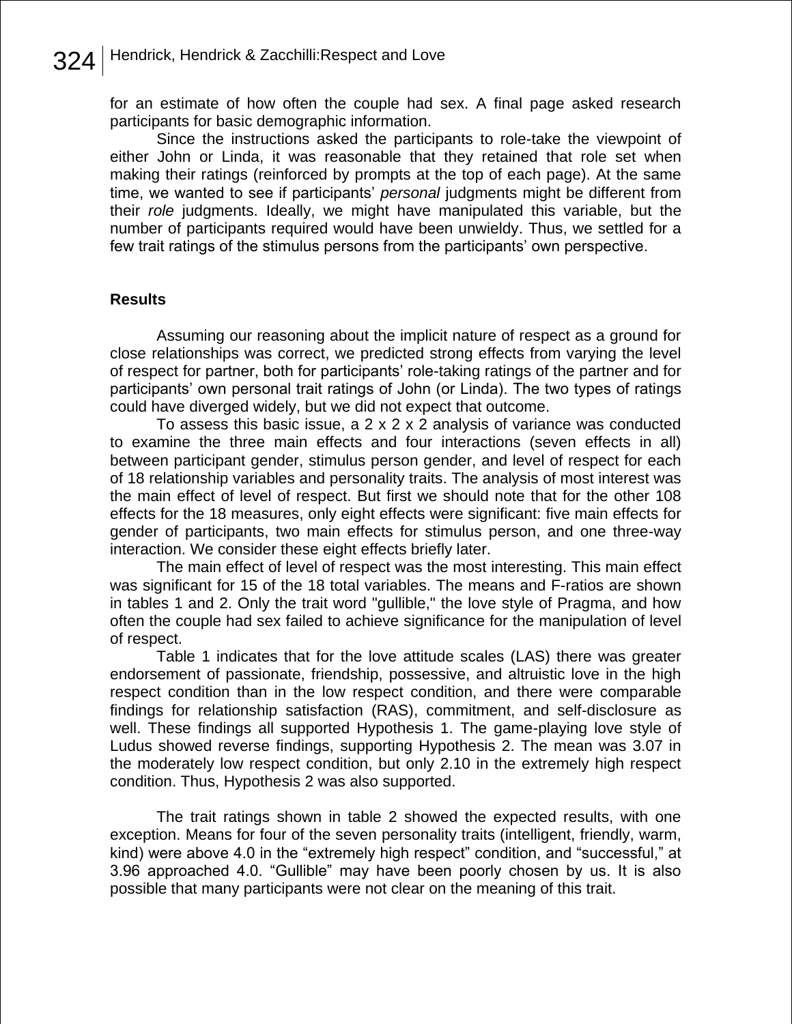for an estimate of how often the couple had sex. A final page asked research participants for basic demographic information.

Since the instructions asked the participants to role-take the viewpoint of either John or Linda, it was reasonable that they retained that role set when making their ratings (reinforced by prompts at the top of each page). At the same time, we wanted to see if participants' *personal* judgments might be different from their *role* judgments. Ideally, we might have manipulated this variable, but the number of participants required would have been unwieldy. Thus, we settled for a few trait ratings of the stimulus persons from the participants' own perspective.

## **Results**

Assuming our reasoning about the implicit nature of respect as a ground for close relationships was correct, we predicted strong effects from varying the level of respect for partner, both for participants' role-taking ratings of the partner and for participants' own personal trait ratings of John (or Linda). The two types of ratings could have diverged widely, but we did not expect that outcome.

To assess this basic issue, a  $2 \times 2 \times 2$  analysis of variance was conducted to examine the three main effects and four interactions (seven effects in all) between participant gender, stimulus person gender, and level of respect for each of 18 relationship variables and personality traits. The analysis of most interest was the main effect of level of respect. But first we should note that for the other 108 effects for the 18 measures, only eight effects were significant: five main effects for gender of participants, two main effects for stimulus person, and one three-way interaction. We consider these eight effects briefly later.

The main effect of level of respect was the most interesting. This main effect was significant for 15 of the 18 total variables. The means and F-ratios are shown in tables 1 and 2. Only the trait word "gullible," the love style of Pragma, and how often the couple had sex failed to achieve significance for the manipulation of level of respect.

Table 1 indicates that for the love attitude scales (LAS) there was greater endorsement of passionate, friendship, possessive, and altruistic love in the high respect condition than in the low respect condition, and there were comparable findings for relationship satisfaction (RAS), commitment, and self-disclosure as well. These findings all supported Hypothesis 1. The game-playing love style of Ludus showed reverse findings, supporting Hypothesis 2. The mean was 3.07 in the moderately low respect condition, but only 2.10 in the extremely high respect condition. Thus, Hypothesis 2 was also supported.

The trait ratings shown in table 2 showed the expected results, with one exception. Means for four of the seven personality traits (intelligent, friendly, warm, kind) were above 4.0 in the "extremely high respect" condition, and "successful," at 3.96 approached 4.0. "Gullible" may have been poorly chosen by us. It is also possible that many participants were not clear on the meaning of this trait.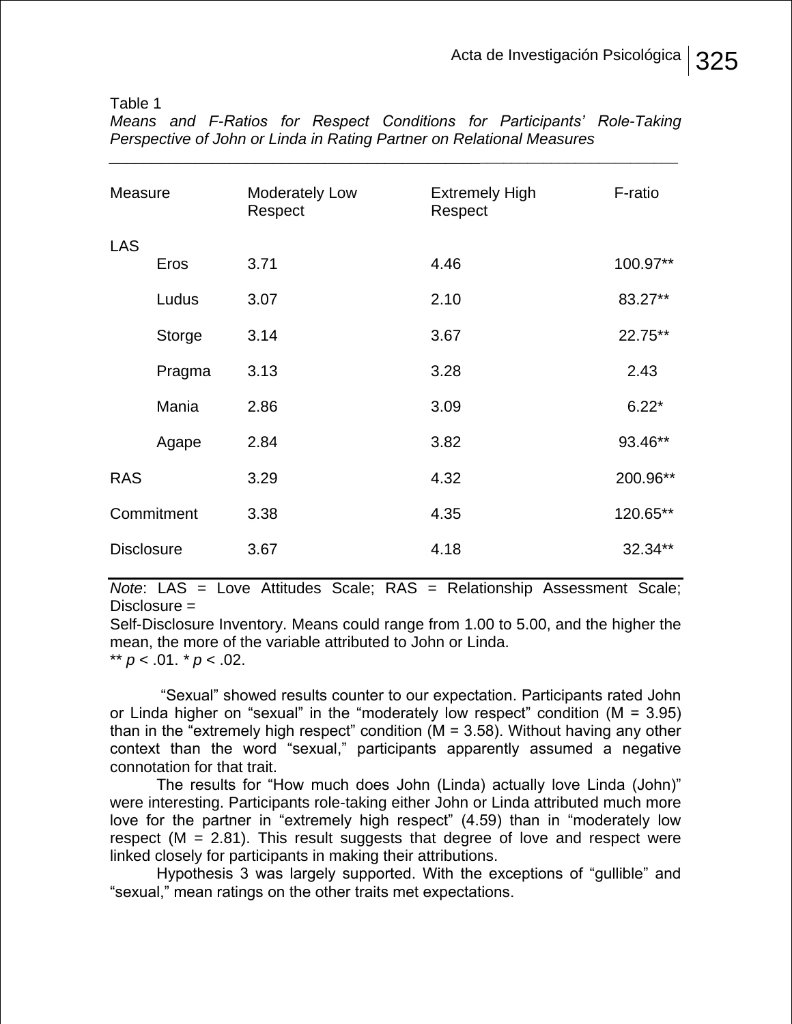Table 1

| Measure           |               | <b>Moderately Low</b><br>Respect | <b>Extremely High</b><br>Respect | F-ratio  |
|-------------------|---------------|----------------------------------|----------------------------------|----------|
| <b>LAS</b>        |               |                                  |                                  |          |
|                   | Eros          | 3.71                             | 4.46                             | 100.97** |
|                   | Ludus         | 3.07                             | 2.10                             | 83.27**  |
|                   | <b>Storge</b> | 3.14                             | 3.67                             | 22.75**  |
|                   | Pragma        | 3.13                             | 3.28                             | 2.43     |
|                   | Mania         | 2.86                             | 3.09                             | $6.22*$  |
|                   | Agape         | 2.84                             | 3.82                             | 93.46**  |
| <b>RAS</b>        |               | 3.29                             | 4.32                             | 200.96** |
| Commitment        |               | 3.38                             | 4.35                             | 120.65** |
| <b>Disclosure</b> |               | 3.67                             | 4.18                             | 32.34**  |

*Means and F-Ratios for Respect Conditions for Participants' Role-Taking Perspective of John or Linda in Rating Partner on Relational Measures \_\_\_\_\_\_\_\_\_\_\_\_\_\_\_\_\_\_\_\_\_\_\_\_\_\_\_\_\_\_\_\_\_\_\_\_\_\_\_\_\_\_\_\_\_\_\_\_\_\_\_\_\_\_\_\_\_\_\_\_\_\_\_\_\_\_\_\_*

*Note*: LAS = Love Attitudes Scale; RAS = Relationship Assessment Scale; Disclosure =

Self-Disclosure Inventory. Means could range from 1.00 to 5.00, and the higher the mean, the more of the variable attributed to John or Linda.

\*\*  $p < .01$ .  $p < .02$ .

―Sexual‖ showed results counter to our expectation. Participants rated John or Linda higher on "sexual" in the "moderately low respect" condition ( $M = 3.95$ ) than in the "extremely high respect" condition ( $M = 3.58$ ). Without having any other context than the word "sexual," participants apparently assumed a negative connotation for that trait.

The results for "How much does John (Linda) actually love Linda (John)" were interesting. Participants role-taking either John or Linda attributed much more love for the partner in "extremely high respect" (4.59) than in "moderately low respect  $(M = 2.81)$ . This result suggests that degree of love and respect were linked closely for participants in making their attributions.

Hypothesis 3 was largely supported. With the exceptions of "gullible" and "sexual," mean ratings on the other traits met expectations.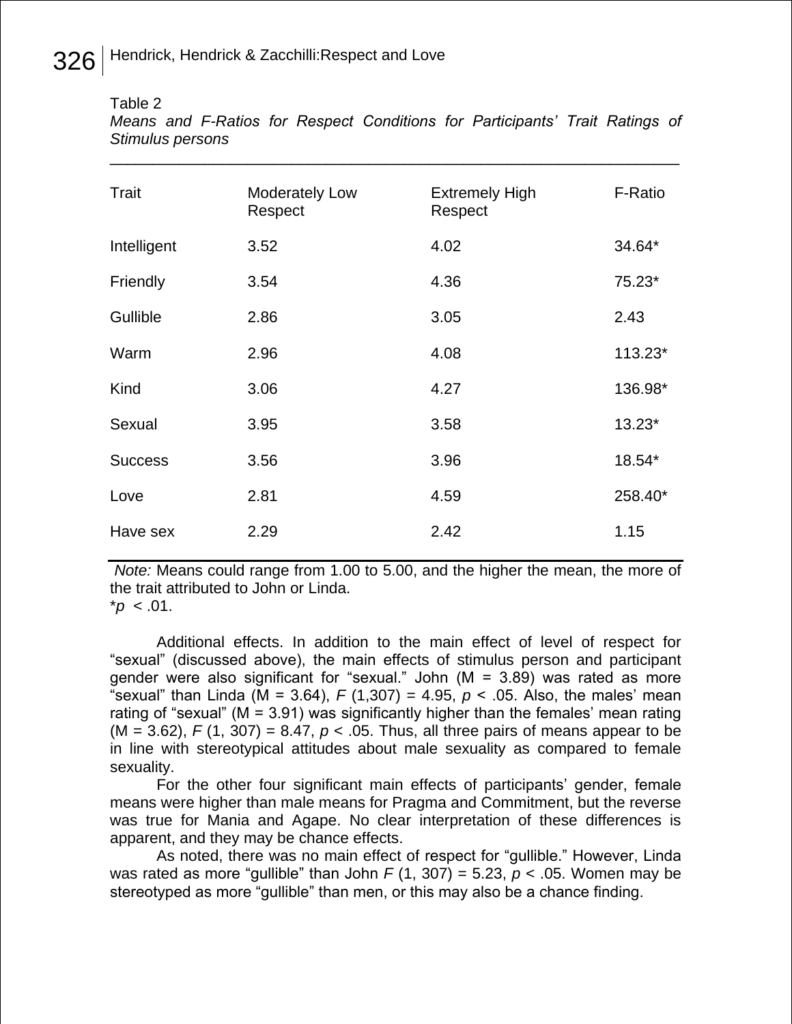Table 2

*Means and F-Ratios for Respect Conditions for Participants' Trait Ratings of Stimulus persons* 

\_\_\_\_\_\_\_\_\_\_\_\_\_\_\_\_\_\_\_\_\_\_\_\_\_\_\_\_\_\_\_\_\_\_\_\_\_\_\_\_\_\_\_\_\_\_\_\_\_\_\_\_\_\_\_\_\_\_\_\_\_\_\_\_\_\_

| Trait          | <b>Moderately Low</b><br>Respect | <b>Extremely High</b><br>Respect | F-Ratio |
|----------------|----------------------------------|----------------------------------|---------|
| Intelligent    | 3.52                             | 4.02                             | 34.64*  |
| Friendly       | 3.54                             | 4.36                             | 75.23*  |
| Gullible       | 2.86                             | 3.05                             | 2.43    |
| Warm           | 2.96                             | 4.08                             | 113.23* |
| Kind           | 3.06                             | 4.27                             | 136.98* |
| Sexual         | 3.95                             | 3.58                             | 13.23*  |
| <b>Success</b> | 3.56                             | 3.96                             | 18.54*  |
| Love           | 2.81                             | 4.59                             | 258.40* |
| Have sex       | 2.29                             | 2.42                             | 1.15    |

*Note:* Means could range from 1.00 to 5.00, and the higher the mean, the more of the trait attributed to John or Linda.

 $^*p$  < .01.

Additional effects. In addition to the main effect of level of respect for ―sexual‖ (discussed above), the main effects of stimulus person and participant gender were also significant for "sexual." John  $(M = 3.89)$  was rated as more "sexual" than Linda (M = 3.64),  $F(1,307) = 4.95$ ,  $p < .05$ . Also, the males' mean rating of "sexual" ( $M = 3.91$ ) was significantly higher than the females' mean rating  $(M = 3.62)$ ,  $F(1, 307) = 8.47$ ,  $p < .05$ . Thus, all three pairs of means appear to be in line with stereotypical attitudes about male sexuality as compared to female sexuality.

For the other four significant main effects of participants' gender, female means were higher than male means for Pragma and Commitment, but the reverse was true for Mania and Agape. No clear interpretation of these differences is apparent, and they may be chance effects.

As noted, there was no main effect of respect for "gullible." However, Linda was rated as more "gullible" than John  $F(1, 307) = 5.23$ ,  $p < .05$ . Women may be stereotyped as more "gullible" than men, or this may also be a chance finding.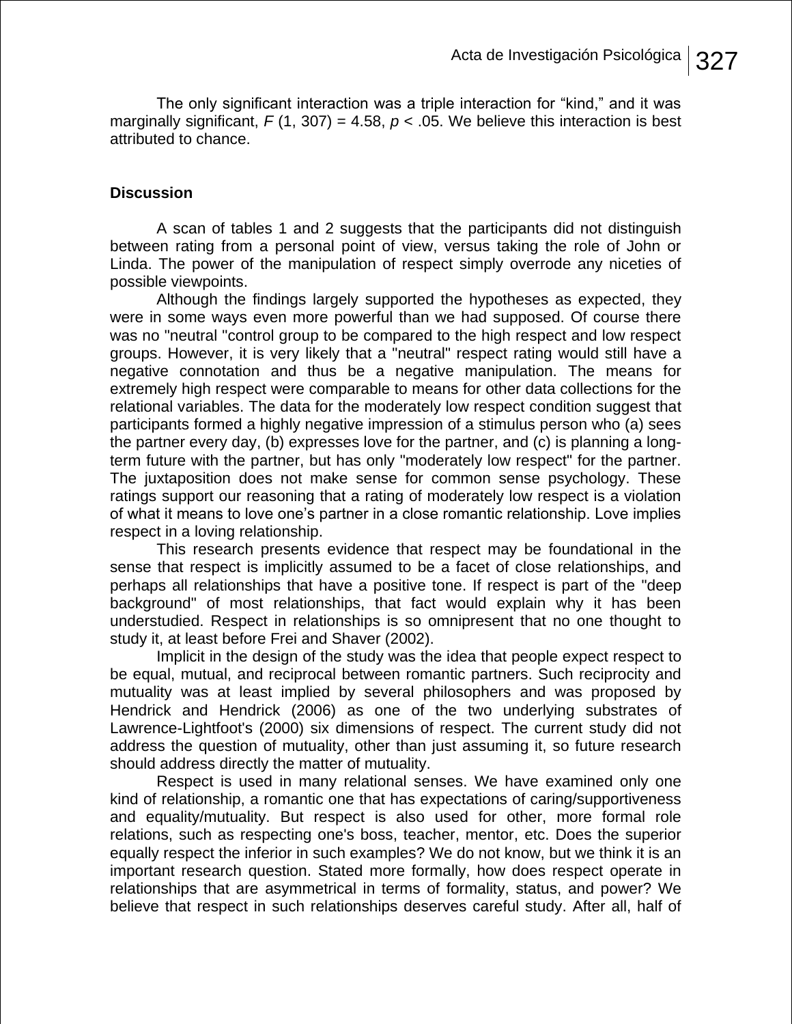The only significant interaction was a triple interaction for "kind," and it was marginally significant,  $F(1, 307) = 4.58$ ,  $p < .05$ . We believe this interaction is best attributed to chance.

## **Discussion**

A scan of tables 1 and 2 suggests that the participants did not distinguish between rating from a personal point of view, versus taking the role of John or Linda. The power of the manipulation of respect simply overrode any niceties of possible viewpoints.

Although the findings largely supported the hypotheses as expected, they were in some ways even more powerful than we had supposed. Of course there was no "neutral "control group to be compared to the high respect and low respect groups. However, it is very likely that a "neutral" respect rating would still have a negative connotation and thus be a negative manipulation. The means for extremely high respect were comparable to means for other data collections for the relational variables. The data for the moderately low respect condition suggest that participants formed a highly negative impression of a stimulus person who (a) sees the partner every day, (b) expresses love for the partner, and (c) is planning a longterm future with the partner, but has only "moderately low respect" for the partner. The juxtaposition does not make sense for common sense psychology. These ratings support our reasoning that a rating of moderately low respect is a violation of what it means to love one's partner in a close romantic relationship. Love implies respect in a loving relationship.

This research presents evidence that respect may be foundational in the sense that respect is implicitly assumed to be a facet of close relationships, and perhaps all relationships that have a positive tone. If respect is part of the "deep background" of most relationships, that fact would explain why it has been understudied. Respect in relationships is so omnipresent that no one thought to study it, at least before Frei and Shaver (2002).

Implicit in the design of the study was the idea that people expect respect to be equal, mutual, and reciprocal between romantic partners. Such reciprocity and mutuality was at least implied by several philosophers and was proposed by Hendrick and Hendrick (2006) as one of the two underlying substrates of Lawrence-Lightfoot's (2000) six dimensions of respect. The current study did not address the question of mutuality, other than just assuming it, so future research should address directly the matter of mutuality.

Respect is used in many relational senses. We have examined only one kind of relationship, a romantic one that has expectations of caring/supportiveness and equality/mutuality. But respect is also used for other, more formal role relations, such as respecting one's boss, teacher, mentor, etc. Does the superior equally respect the inferior in such examples? We do not know, but we think it is an important research question. Stated more formally, how does respect operate in relationships that are asymmetrical in terms of formality, status, and power? We believe that respect in such relationships deserves careful study. After all, half of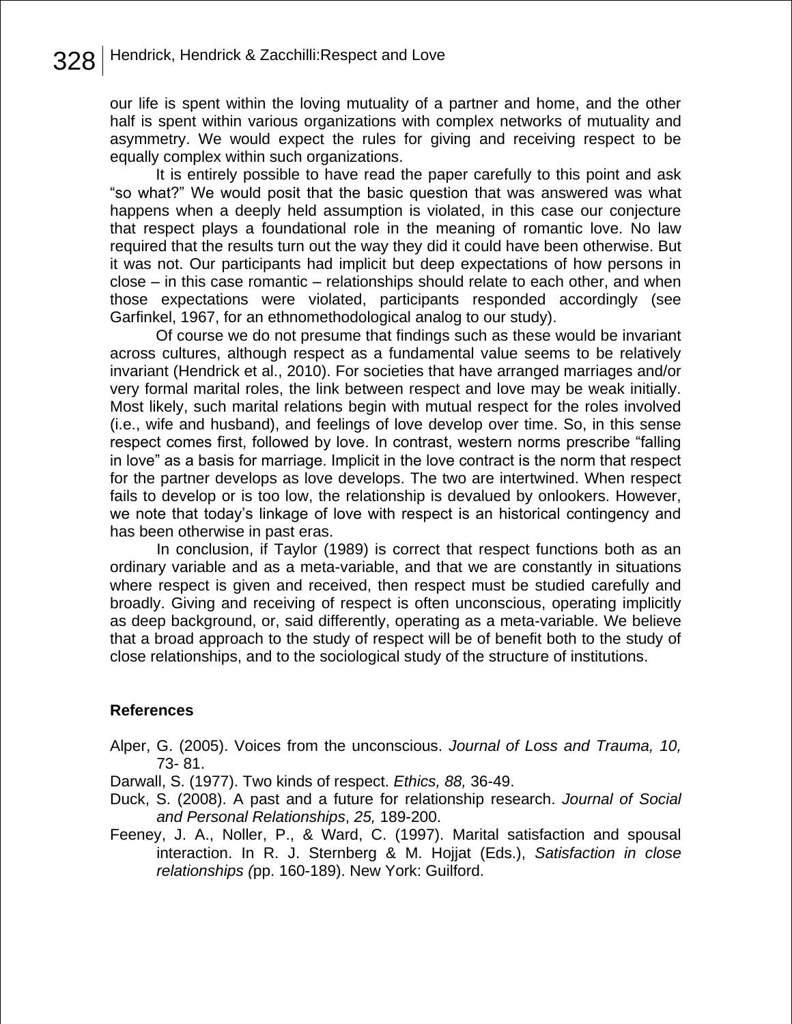our life is spent within the loving mutuality of a partner and home, and the other half is spent within various organizations with complex networks of mutuality and asymmetry. We would expect the rules for giving and receiving respect to be equally complex within such organizations.

 It is entirely possible to have read the paper carefully to this point and ask ―so what?‖ We would posit that the basic question that was answered was what happens when a deeply held assumption is violated, in this case our conjecture that respect plays a foundational role in the meaning of romantic love. No law required that the results turn out the way they did it could have been otherwise. But it was not. Our participants had implicit but deep expectations of how persons in close – in this case romantic – relationships should relate to each other, and when those expectations were violated, participants responded accordingly (see Garfinkel, 1967, for an ethnomethodological analog to our study).

 Of course we do not presume that findings such as these would be invariant across cultures, although respect as a fundamental value seems to be relatively invariant (Hendrick et al., 2010). For societies that have arranged marriages and/or very formal marital roles, the link between respect and love may be weak initially. Most likely, such marital relations begin with mutual respect for the roles involved (i.e., wife and husband), and feelings of love develop over time. So, in this sense respect comes first, followed by love. In contrast, western norms prescribe "falling in love" as a basis for marriage. Implicit in the love contract is the norm that respect for the partner develops as love develops. The two are intertwined. When respect fails to develop or is too low, the relationship is devalued by onlookers. However, we note that today's linkage of love with respect is an historical contingency and has been otherwise in past eras.

In conclusion, if Taylor (1989) is correct that respect functions both as an ordinary variable and as a meta-variable, and that we are constantly in situations where respect is given and received, then respect must be studied carefully and broadly. Giving and receiving of respect is often unconscious, operating implicitly as deep background, or, said differently, operating as a meta-variable. We believe that a broad approach to the study of respect will be of benefit both to the study of close relationships, and to the sociological study of the structure of institutions.

### **References**

Alper, G. (2005). Voices from the unconscious. *Journal of Loss and Trauma, 10,* 73- 81.

Darwall, S. (1977). Two kinds of respect. *Ethics, 88,* 36-49.

- Duck, S. (2008). A past and a future for relationship research. *Journal of Social and Personal Relationships*, *25,* 189-200.
- Feeney, J. A., Noller, P., & Ward, C. (1997). Marital satisfaction and spousal interaction. In R. J. Sternberg & M. Hojjat (Eds.), *Satisfaction in close relationships (*pp. 160-189). New York: Guilford.